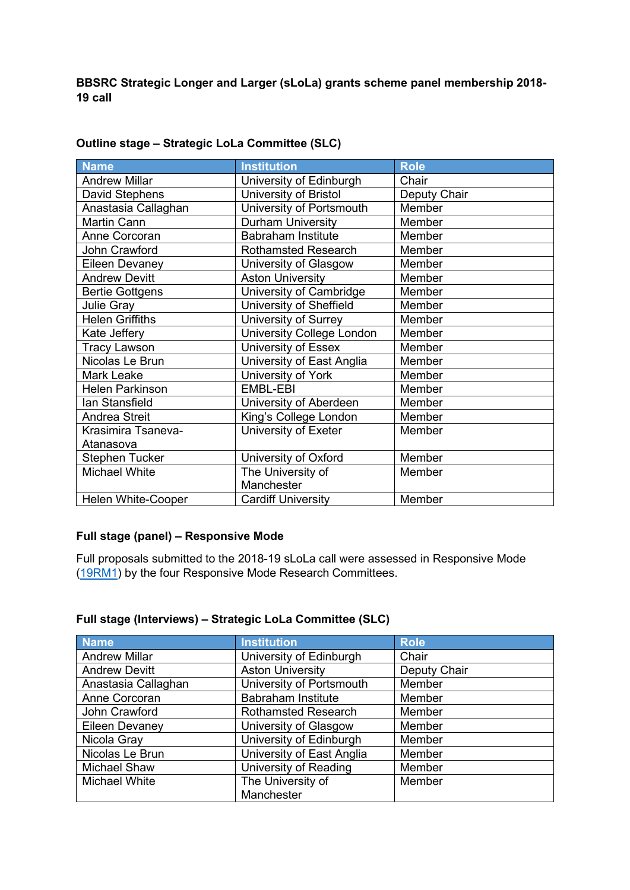**BBSRC Strategic Longer and Larger (sLoLa) grants scheme panel membership 2018- 19 call**

| Name                      | <b>Institution</b>               | <b>Role</b>  |
|---------------------------|----------------------------------|--------------|
| <b>Andrew Millar</b>      | University of Edinburgh          | Chair        |
| David Stephens            | University of Bristol            | Deputy Chair |
| Anastasia Callaghan       | University of Portsmouth         | Member       |
| Martin Cann               | <b>Durham University</b>         | Member       |
| Anne Corcoran             | <b>Babraham Institute</b>        | Member       |
| John Crawford             | <b>Rothamsted Research</b>       | Member       |
| <b>Eileen Devaney</b>     | University of Glasgow            | Member       |
| <b>Andrew Devitt</b>      | <b>Aston University</b>          | Member       |
| <b>Bertie Gottgens</b>    | University of Cambridge          | Member       |
| <b>Julie Gray</b>         | University of Sheffield          | Member       |
| <b>Helen Griffiths</b>    | University of Surrey             | Member       |
| Kate Jeffery              | <b>University College London</b> | Member       |
| <b>Tracy Lawson</b>       | University of Essex              | Member       |
| Nicolas Le Brun           | University of East Anglia        | Member       |
| Mark Leake                | University of York               | Member       |
| <b>Helen Parkinson</b>    | EMBL-EBI                         | Member       |
| Ian Stansfield            | University of Aberdeen           | Member       |
| <b>Andrea Streit</b>      | King's College London            | Member       |
| Krasimira Tsaneva-        | University of Exeter             | Member       |
| Atanasova                 |                                  |              |
| <b>Stephen Tucker</b>     | University of Oxford             | Member       |
| <b>Michael White</b>      | The University of                | Member       |
|                           | Manchester                       |              |
| <b>Helen White-Cooper</b> | <b>Cardiff University</b>        | Member       |

## **Outline stage – Strategic LoLa Committee (SLC)**

## **Full stage (panel) – Responsive Mode**

Full proposals submitted to the 2018-19 sLoLa call were assessed in Responsive Mode [\(19RM1\)](https://www.ukri.org/wp-content/uploads/2021/10/BBSRC-11102021-ResearchCommitteeMembership2019RM1.pdf) by the four Responsive Mode Research Committees.

## **Full stage (Interviews) – Strategic LoLa Committee (SLC)**

| <b>Name</b>          | <b>Institution</b>         | <b>Role</b>  |
|----------------------|----------------------------|--------------|
| <b>Andrew Millar</b> | University of Edinburgh    | Chair        |
| <b>Andrew Devitt</b> | <b>Aston University</b>    | Deputy Chair |
| Anastasia Callaghan  | University of Portsmouth   | Member       |
| Anne Corcoran        | <b>Babraham Institute</b>  | Member       |
| John Crawford        | <b>Rothamsted Research</b> | Member       |
| Eileen Devaney       | University of Glasgow      | Member       |
| Nicola Gray          | University of Edinburgh    | Member       |
| Nicolas Le Brun      | University of East Anglia  | Member       |
| <b>Michael Shaw</b>  | University of Reading      | Member       |
| <b>Michael White</b> | The University of          | Member       |
|                      | Manchester                 |              |